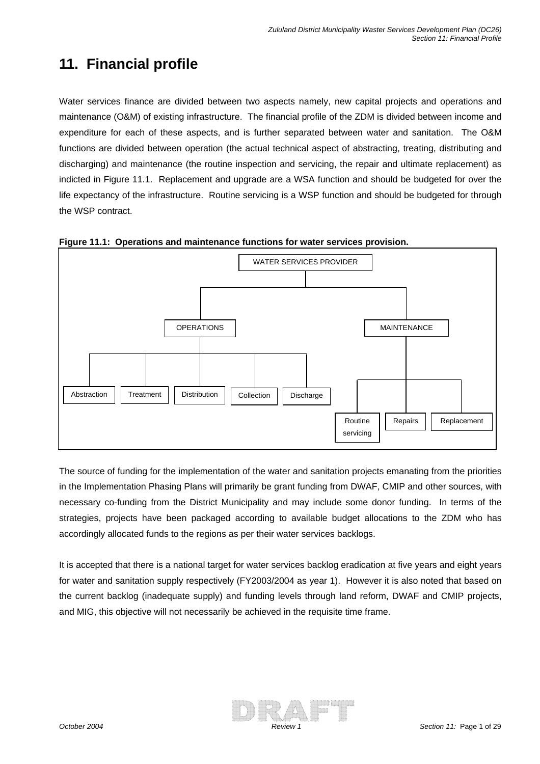# **11. Financial profile**

Water services finance are divided between two aspects namely, new capital projects and operations and maintenance (O&M) of existing infrastructure. The financial profile of the ZDM is divided between income and expenditure for each of these aspects, and is further separated between water and sanitation. The O&M functions are divided between operation (the actual technical aspect of abstracting, treating, distributing and discharging) and maintenance (the routine inspection and servicing, the repair and ultimate replacement) as indicted in Figure 11.1. Replacement and upgrade are a WSA function and should be budgeted for over the life expectancy of the infrastructure. Routine servicing is a WSP function and should be budgeted for through the WSP contract.





The source of funding for the implementation of the water and sanitation projects emanating from the priorities in the Implementation Phasing Plans will primarily be grant funding from DWAF, CMIP and other sources, with necessary co-funding from the District Municipality and may include some donor funding. In terms of the strategies, projects have been packaged according to available budget allocations to the ZDM who has accordingly allocated funds to the regions as per their water services backlogs.

It is accepted that there is a national target for water services backlog eradication at five years and eight years for water and sanitation supply respectively (FY2003/2004 as year 1). However it is also noted that based on the current backlog (inadequate supply) and funding levels through land reform, DWAF and CMIP projects, and MIG, this objective will not necessarily be achieved in the requisite time frame.

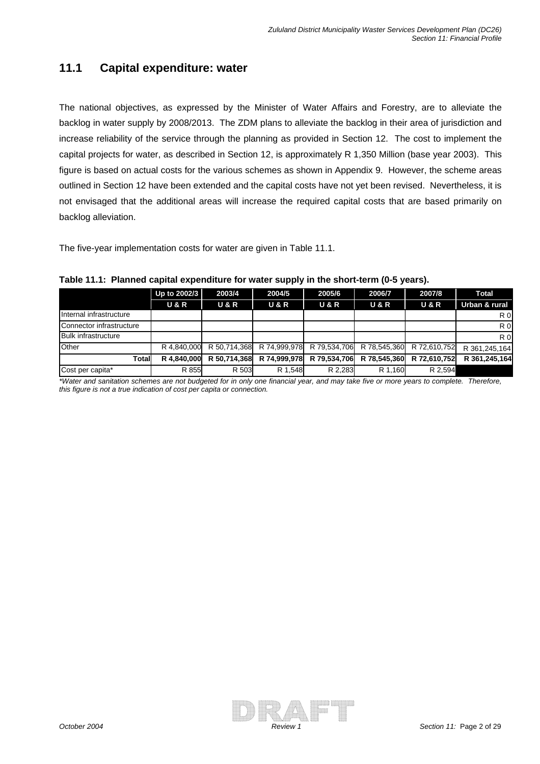#### **11.1 Capital expenditure: water**

The national objectives, as expressed by the Minister of Water Affairs and Forestry, are to alleviate the backlog in water supply by 2008/2013. The ZDM plans to alleviate the backlog in their area of jurisdiction and increase reliability of the service through the planning as provided in Section 12. The cost to implement the capital projects for water, as described in Section 12, is approximately R 1,350 Million (base year 2003). This figure is based on actual costs for the various schemes as shown in Appendix 9. However, the scheme areas outlined in Section 12 have been extended and the capital costs have not yet been revised. Nevertheless, it is not envisaged that the additional areas will increase the required capital costs that are based primarily on backlog alleviation.

The five-year implementation costs for water are given in Table 11.1.

|                            | Up to 2002/3     | 2003/4           | 2004/5         | 2005/6         | 2006/7         | 2007/8           | Total          |
|----------------------------|------------------|------------------|----------------|----------------|----------------|------------------|----------------|
|                            | <b>U &amp; R</b> | <b>U &amp; R</b> | <b>U&amp;R</b> | <b>U&amp;R</b> | <b>U&amp;R</b> | <b>U &amp; R</b> | Urban & rural  |
| Internal infrastructure    |                  |                  |                |                |                |                  | R <sub>0</sub> |
| Connector infrastructure   |                  |                  |                |                |                |                  | R <sub>0</sub> |
| <b>Bulk infrastructure</b> |                  |                  |                |                |                |                  | R <sub>0</sub> |
| Other                      | R 4.840.000      | R 50.714.368     | R 74,999,978   | R 79.534.706   | R 78.545.360   | R 72.610.752     | R 361,245,164  |
| Totall                     | R 4.840.000      | R 50.714.368     | R 74,999,978   | R 79.534.706   | R 78.545.360   | R 72.610.752     | R 361.245.164  |
| Cost per capita*           | R 855            | R 503            | R 1.548        | R 2.283        | R 1.160        | R 2.594          |                |

#### **Table 11.1: Planned capital expenditure for water supply in the short-term (0-5 years).**

*\*Water and sanitation schemes are not budgeted for in only one financial year, and may take five or more years to complete. Therefore, this figure is not a true indication of cost per capita or connection.* 

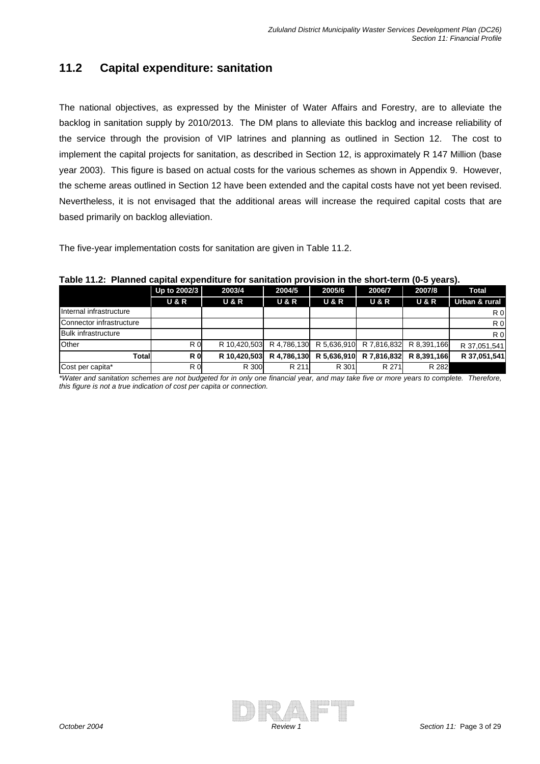### **11.2 Capital expenditure: sanitation**

The national objectives, as expressed by the Minister of Water Affairs and Forestry, are to alleviate the backlog in sanitation supply by 2010/2013. The DM plans to alleviate this backlog and increase reliability of the service through the provision of VIP latrines and planning as outlined in Section 12. The cost to implement the capital projects for sanitation, as described in Section 12, is approximately R 147 Million (base year 2003). This figure is based on actual costs for the various schemes as shown in Appendix 9. However, the scheme areas outlined in Section 12 have been extended and the capital costs have not yet been revised. Nevertheless, it is not envisaged that the additional areas will increase the required capital costs that are based primarily on backlog alleviation.

The five-year implementation costs for sanitation are given in Table 11.2.

| IMIIIIVM VAMILAI VANVITMILAIV TVI VAIIILALIVIT<br><u>Motorum in the chemic tonn</u> |                  |                  |                |                  |                  |                  |                |  |  |  |
|-------------------------------------------------------------------------------------|------------------|------------------|----------------|------------------|------------------|------------------|----------------|--|--|--|
|                                                                                     | Up to 2002/3     | 2003/4           | 2004/5         | 2005/6           | 2006/7           | 2007/8           | <b>Total</b>   |  |  |  |
|                                                                                     | <b>U &amp; R</b> | <b>U &amp; R</b> | <b>U&amp;R</b> | <b>U &amp; R</b> | <b>U &amp; R</b> | <b>U &amp; R</b> | Urban & rural  |  |  |  |
| Internal infrastructure                                                             |                  |                  |                |                  |                  |                  | R 0            |  |  |  |
| Connector infrastructure                                                            |                  |                  |                |                  |                  |                  | R <sub>0</sub> |  |  |  |
| <b>Bulk infrastructure</b>                                                          |                  |                  |                |                  |                  |                  | R <sub>0</sub> |  |  |  |
| Other                                                                               | R <sub>0</sub>   | R 10.420.503     | R 4.786.130    | R 5,636,910      | R 7.816.832      | R 8.391.166      | R 37,051,541   |  |  |  |
| Total                                                                               | R <sub>0</sub>   | R 10.420.503     | R 4.786.130    | R 5,636,910      | R 7.816.832      | R 8.391.166      | R 37,051,541   |  |  |  |
| Cost per capita*                                                                    | R 0              | R 300            | R 211          | R 301            | R 271            | R 282            |                |  |  |  |

**Table 11.2: Planned capital expenditure for sanitation provision in the short-term (0-5 years).** 

*Therefore, \*Water and sanitation schemes are not budgeted for in only one financial year, and may take five or more years to complete. this figure is not a true indication of cost per capita or connection.* 

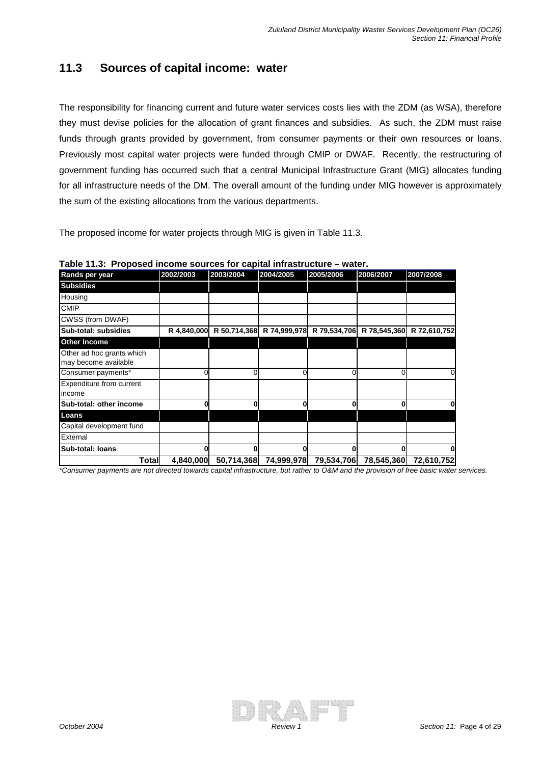#### **11.3 Sources of capital income: water**

The responsibility for financing current and future water services costs lies with the ZDM (as WSA), therefore they must devise policies for the allocation of grant finances and subsidies. As such, the ZDM must raise funds through grants provided by government, from consumer payments or their own resources or loans. Previously most capital water projects were funded through CMIP or DWAF. Recently, the restructuring of government funding has occurred such that a central Municipal Infrastructure Grant (MIG) allocates funding for all infrastructure needs of the DM. The overall amount of the funding under MIG however is approximately the sum of the existing allocations from the various departments.

The proposed income for water projects through MIG is given in Table 11.3.

| Rands per year                                    | 2002/2003   | 2003/2004    | 2004/2005    | 2005/2006    | 2006/2007    | 2007/2008    |
|---------------------------------------------------|-------------|--------------|--------------|--------------|--------------|--------------|
| <b>Subsidies</b>                                  |             |              |              |              |              |              |
| Housing                                           |             |              |              |              |              |              |
| <b>CMIP</b>                                       |             |              |              |              |              |              |
| CWSS (from DWAF)                                  |             |              |              |              |              |              |
| Sub-total: subsidies                              | R 4,840,000 | R 50,714,368 | R 74,999,978 | R 79,534,706 | R 78,545,360 | R 72,610,752 |
| Other income                                      |             |              |              |              |              |              |
| Other ad hoc grants which<br>may become available |             |              |              |              |              |              |
| Consumer payments*                                |             |              |              |              |              |              |
| Expenditure from current<br>income                |             |              |              |              |              |              |
| Sub-total: other income                           |             |              |              |              |              |              |
| Loans                                             |             |              |              |              |              |              |
| Capital development fund                          |             |              |              |              |              |              |
| External                                          |             |              |              |              |              |              |
| Sub-total: Ioans                                  |             |              |              |              |              |              |
| Total                                             | 4,840,000   | 50,714,368   | 74,999,978   | 79,534,706   | 78,545,360   | 72,610,752   |

**Table 11.3: Proposed income sources for capital infrastructure – water.** 

\*Consumer payments are not directed towards capital infrastructure, but rather to O&M and the provision of free basic water services.

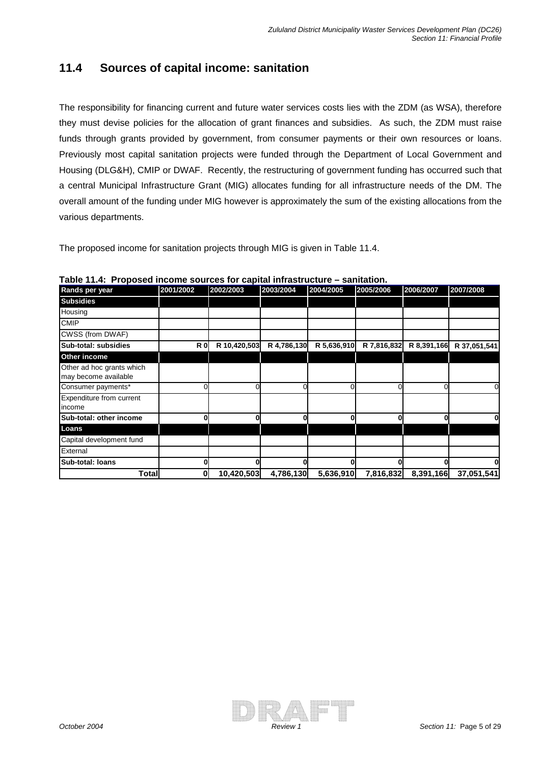### **11.4 Sources of capital income: sanitation**

The responsibility for financing current and future water services costs lies with the ZDM (as WSA), therefore they must devise policies for the allocation of grant finances and subsidies. As such, the ZDM must raise funds through grants provided by government, from consumer payments or their own resources or loans. Previously most capital sanitation projects were funded through the Department of Local Government and Housing (DLG&H), CMIP or DWAF. Recently, the restructuring of government funding has occurred such that a central Municipal Infrastructure Grant (MIG) allocates funding for all infrastructure needs of the DM. The overall amount of the funding under MIG however is approximately the sum of the existing allocations from the various departments.

The proposed income for sanitation projects through MIG is given in Table 11.4.

| Rands per year                                    | 2001/2002      | 2002/2003    | 2003/2004   | 2004/2005   | 2005/2006   | 2006/2007   | 2007/2008    |
|---------------------------------------------------|----------------|--------------|-------------|-------------|-------------|-------------|--------------|
| <b>Subsidies</b>                                  |                |              |             |             |             |             |              |
| Housing                                           |                |              |             |             |             |             |              |
| <b>CMIP</b>                                       |                |              |             |             |             |             |              |
| CWSS (from DWAF)                                  |                |              |             |             |             |             |              |
| Sub-total: subsidies                              | R <sub>0</sub> | R 10,420,503 | R 4,786,130 | R 5,636,910 | R 7,816,832 | R 8,391,166 | R 37,051,541 |
| Other income                                      |                |              |             |             |             |             |              |
| Other ad hoc grants which<br>may become available |                |              |             |             |             |             |              |
| Consumer payments*                                |                |              |             |             |             |             |              |
| Expenditure from current<br>income                |                |              |             |             |             |             |              |
| Sub-total: other income                           |                |              |             |             |             |             |              |
| Loans                                             |                |              |             |             |             |             |              |
| Capital development fund                          |                |              |             |             |             |             |              |
| External                                          |                |              |             |             |             |             |              |
| Sub-total: Ioans                                  |                |              |             |             |             |             |              |
| Total                                             |                | 10,420,503   | 4,786,130   | 5,636,910   | 7,816,832   | 8,391,166   | 37,051,541   |

**Table 11.4: Proposed income sources for capital infrastructure – sanitation.** 

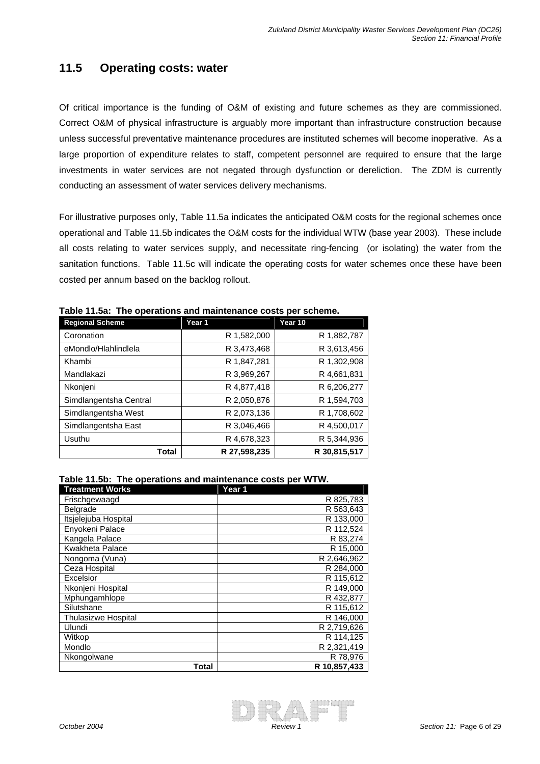#### **11.5 Operating costs: water**

Of critical importance is the funding of O&M of existing and future schemes as they are commissioned. Correct O&M of physical infrastructure is arguably more important than infrastructure construction because unless successful preventative maintenance procedures are instituted schemes will become inoperative. As a large proportion of expenditure relates to staff, competent personnel are required to ensure that the large investments in water services are not negated through dysfunction or dereliction. The ZDM is currently conducting an assessment of water services delivery mechanisms.

For illustrative purposes only, Table 11.5a indicates the anticipated O&M costs for the regional schemes once operational and Table 11.5b indicates the O&M costs for the individual WTW (base year 2003). These include all costs relating to water services supply, and necessitate ring-fencing (or isolating) the water from the sanitation functions. Table 11.5c will indicate the operating costs for water schemes once these have been costed per annum based on the backlog rollout.

| <b>Regional Scheme</b> | Year 1       | Year 10      |
|------------------------|--------------|--------------|
| Coronation             | R 1,582,000  | R 1,882,787  |
| eMondlo/Hlahlindlela   | R 3,473,468  | R 3,613,456  |
| Khambi                 | R 1,847,281  | R 1,302,908  |
| Mandlakazi             | R 3,969,267  | R 4,661,831  |
| Nkonjeni               | R 4,877,418  | R 6,206,277  |
| Simdlangentsha Central | R 2,050,876  | R 1,594,703  |
| Simdlangentsha West    | R 2,073,136  | R 1,708,602  |
| Simdlangentsha East    | R 3,046,466  | R 4,500,017  |
| Usuthu                 | R 4.678.323  | R 5,344,936  |
| Total                  | R 27,598,235 | R 30,815,517 |

**Table 11.5a: The operations and maintenance costs per scheme.** 

#### **Table 11.5b: The operations and maintenance costs per WTW.**

| <b>Treatment Works</b>     | Year 1       |
|----------------------------|--------------|
| Frischgewaagd              | R 825,783    |
| Belgrade                   | R 563,643    |
| Itsjelejuba Hospital       | R 133,000    |
| Enyokeni Palace            | R 112.524    |
| Kangela Palace             | R 83,274     |
| Kwakheta Palace            | R 15,000     |
| Nongoma (Vuna)             | R 2.646.962  |
| Ceza Hospital              | R 284,000    |
| Excelsior                  | R 115,612    |
| Nkonjeni Hospital          | R 149,000    |
| Mphungamhlope              | R 432.877    |
| Silutshane                 | R 115,612    |
| <b>Thulasizwe Hospital</b> | R 146,000    |
| Ulundi                     | R 2,719,626  |
| Witkop                     | R 114,125    |
| Mondlo                     | R 2,321,419  |
| Nkongolwane                | R 78,976     |
| Total                      | R 10,857,433 |

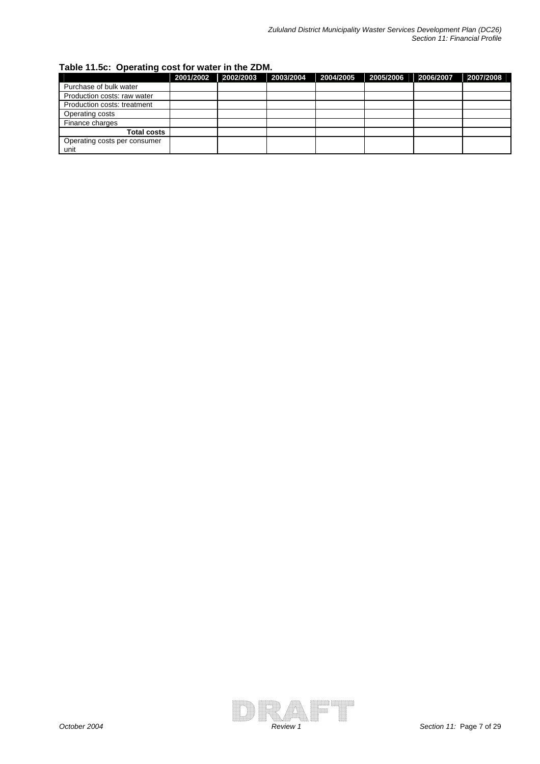| Table 11.5c: Operating cost for water in the ZDM. |  |  |
|---------------------------------------------------|--|--|
|                                                   |  |  |

|                                      | 2001/2002 | 2002/2003 | 2003/2004 | 2004/2005 | 2005/2006 | 2006/2007 | 2007/2008 |
|--------------------------------------|-----------|-----------|-----------|-----------|-----------|-----------|-----------|
| Purchase of bulk water               |           |           |           |           |           |           |           |
| Production costs: raw water          |           |           |           |           |           |           |           |
| Production costs: treatment          |           |           |           |           |           |           |           |
| Operating costs                      |           |           |           |           |           |           |           |
| Finance charges                      |           |           |           |           |           |           |           |
| <b>Total costs</b>                   |           |           |           |           |           |           |           |
| Operating costs per consumer<br>unit |           |           |           |           |           |           |           |

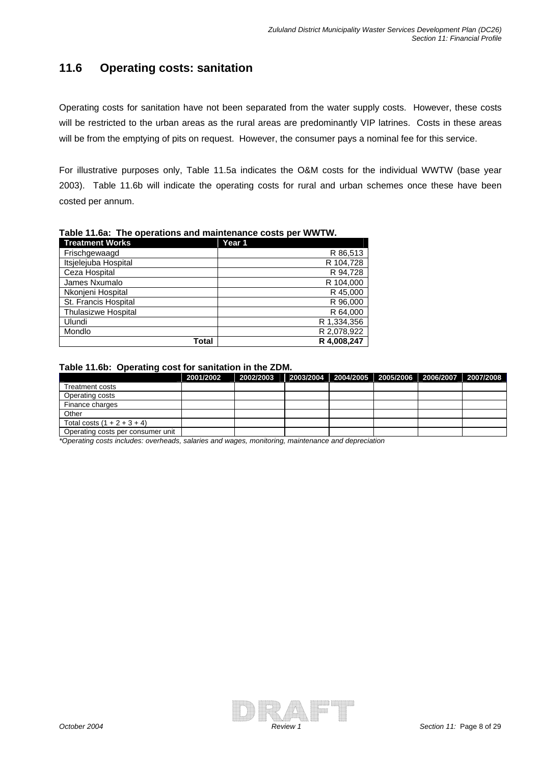### **11.6 Operating costs: sanitation**

Operating costs for sanitation have not been separated from the water supply costs. However, these costs will be restricted to the urban areas as the rural areas are predominantly VIP latrines. Costs in these areas will be from the emptying of pits on request. However, the consumer pays a nominal fee for this service.

For illustrative purposes only, Table 11.5a indicates the O&M costs for the individual WWTW (base year 2003). Table 11.6b will indicate the operating costs for rural and urban schemes once these have been costed per annum.

| <b>Treatment Works</b>     | Year 1      |
|----------------------------|-------------|
| Frischgewaagd              | R 86,513    |
| Itsjelejuba Hospital       | R 104,728   |
| Ceza Hospital              | R 94,728    |
| James Nxumalo              | R 104,000   |
| Nkonjeni Hospital          | R 45,000    |
| St. Francis Hospital       | R 96,000    |
| <b>Thulasizwe Hospital</b> | R 64,000    |
| Ulundi                     | R 1,334,356 |
| Mondlo                     | R 2,078,922 |
| Total                      | R 4.008.247 |

**Table 11.6a: The operations and maintenance costs per WWTW.** 

#### **Table 11.6b: Operating cost for sanitation in the ZDM.**

|                                   | 2001/2002 | 2002/2003 |  | 2003/2004 2004/2005 2005/2006 2006/2007 2007/2008 |  |
|-----------------------------------|-----------|-----------|--|---------------------------------------------------|--|
| Treatment costs                   |           |           |  |                                                   |  |
| Operating costs                   |           |           |  |                                                   |  |
| Finance charges                   |           |           |  |                                                   |  |
| Other                             |           |           |  |                                                   |  |
| Total costs $(1 + 2 + 3 + 4)$     |           |           |  |                                                   |  |
| Operating costs per consumer unit |           |           |  |                                                   |  |

*\*Operating costs includes: overheads, salaries and wages, monitoring, maintenance and depreciation*

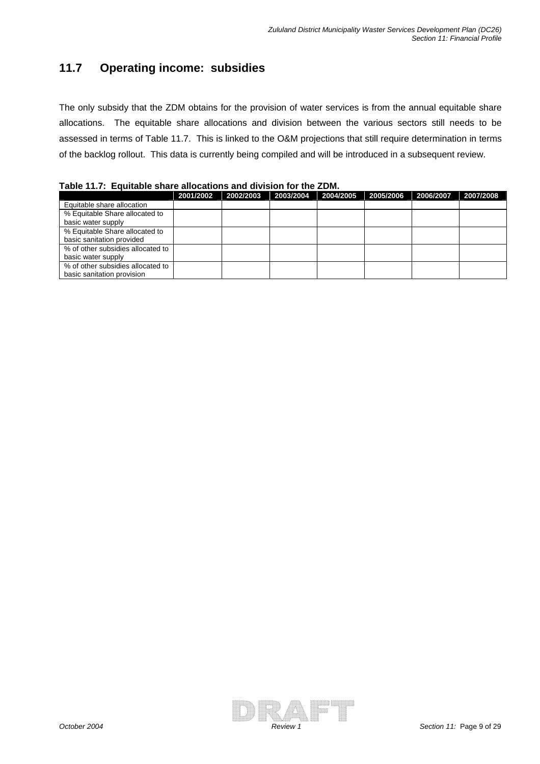## **11.7 Operating income: subsidies**

The only subsidy that the ZDM obtains for the provision of water services is from the annual equitable share allocations. The equitable share allocations and division between the various sectors still needs to be assessed in terms of Table 11.7. This is linked to the O&M projections that still require determination in terms of the backlog rollout. This data is currently being compiled and will be introduced in a subsequent review.

**Table 11.7: Equitable share allocations and division for the ZDM.** 

|                                   | 2001/2002 | 2002/2003 | 2003/2004 | 2004/2005 | 2005/2006 | 2006/2007 | 2007/2008 |
|-----------------------------------|-----------|-----------|-----------|-----------|-----------|-----------|-----------|
| Equitable share allocation        |           |           |           |           |           |           |           |
| % Equitable Share allocated to    |           |           |           |           |           |           |           |
| basic water supply                |           |           |           |           |           |           |           |
| % Equitable Share allocated to    |           |           |           |           |           |           |           |
| basic sanitation provided         |           |           |           |           |           |           |           |
| % of other subsidies allocated to |           |           |           |           |           |           |           |
| basic water supply                |           |           |           |           |           |           |           |
| % of other subsidies allocated to |           |           |           |           |           |           |           |
| basic sanitation provision        |           |           |           |           |           |           |           |

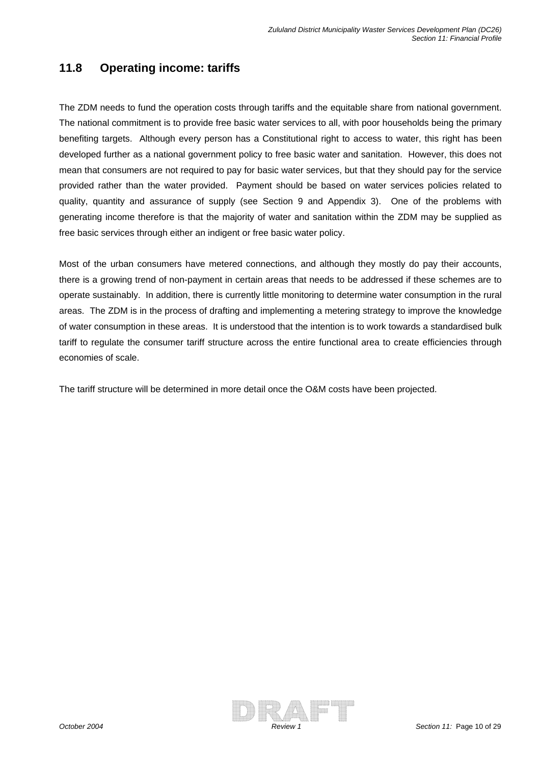### **11.8 Operating income: tariffs**

The ZDM needs to fund the operation costs through tariffs and the equitable share from national government. The national commitment is to provide free basic water services to all, with poor households being the primary benefiting targets. Although every person has a Constitutional right to access to water, this right has been developed further as a national government policy to free basic water and sanitation. However, this does not mean that consumers are not required to pay for basic water services, but that they should pay for the service provided rather than the water provided. Payment should be based on water services policies related to quality, quantity and assurance of supply (see Section 9 and Appendix 3). One of the problems with generating income therefore is that the majority of water and sanitation within the ZDM may be supplied as free basic services through either an indigent or free basic water policy.

Most of the urban consumers have metered connections, and although they mostly do pay their accounts, there is a growing trend of non-payment in certain areas that needs to be addressed if these schemes are to operate sustainably. In addition, there is currently little monitoring to determine water consumption in the rural areas. The ZDM is in the process of drafting and implementing a metering strategy to improve the knowledge of water consumption in these areas. It is understood that the intention is to work towards a standardised bulk tariff to regulate the consumer tariff structure across the entire functional area to create efficiencies through economies of scale.

The tariff structure will be determined in more detail once the O&M costs have been projected.

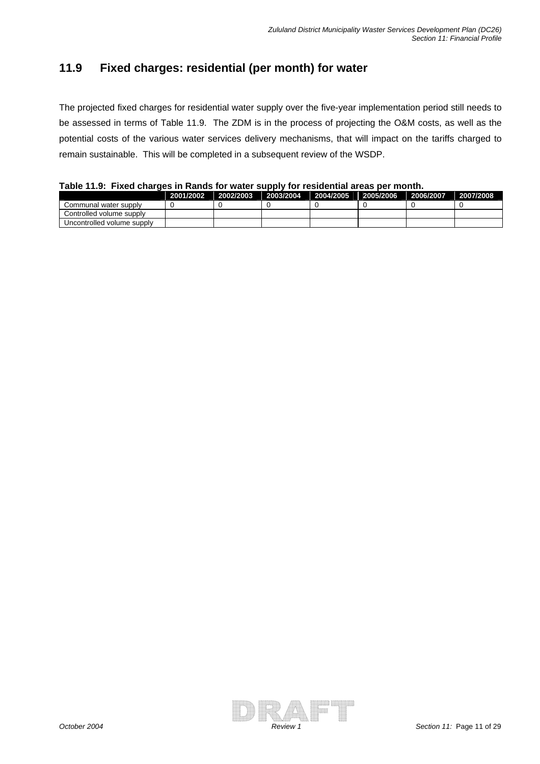## **11.9 Fixed charges: residential (per month) for water**

The projected fixed charges for residential water supply over the five-year implementation period still needs to be assessed in terms of Table 11.9. The ZDM is in the process of projecting the O&M costs, as well as the potential costs of the various water services delivery mechanisms, that will impact on the tariffs charged to remain sustainable. This will be completed in a subsequent review of the WSDP.

**Table 11.9: Fixed charges in Rands for water supply for residential areas per month.** 

|                            | 2001/2002 | 2002/2003 | 2003/2004 | 2004/2005 | 2005/2006 | 2006/2007 2007/2008 |  |
|----------------------------|-----------|-----------|-----------|-----------|-----------|---------------------|--|
| Communal water supply      |           |           |           |           |           |                     |  |
| Controlled volume supply   |           |           |           |           |           |                     |  |
| Uncontrolled volume supply |           |           |           |           |           |                     |  |

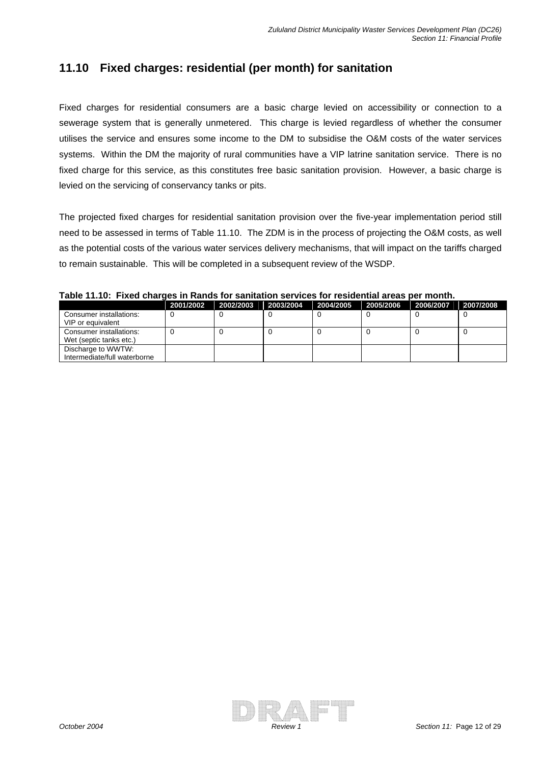### **11.10 Fixed charges: residential (per month) for sanitation**

Fixed charges for residential consumers are a basic charge levied on accessibility or connection to a sewerage system that is generally unmetered. This charge is levied regardless of whether the consumer utilises the service and ensures some income to the DM to subsidise the O&M costs of the water services systems. Within the DM the majority of rural communities have a VIP latrine sanitation service. There is no fixed charge for this service, as this constitutes free basic sanitation provision. However, a basic charge is levied on the servicing of conservancy tanks or pits.

The projected fixed charges for residential sanitation provision over the five-year implementation period still need to be assessed in terms of Table 11.10. The ZDM is in the process of projecting the O&M costs, as well as the potential costs of the various water services delivery mechanisms, that will impact on the tariffs charged to remain sustainable. This will be completed in a subsequent review of the WSDP.

|                                                    | 2001/2002 | 2002/2003 | 2003/2004 | 2004/2005 | 2005/2006 | 2006/2007 | 2007/2008 |  |  |  |  |
|----------------------------------------------------|-----------|-----------|-----------|-----------|-----------|-----------|-----------|--|--|--|--|
| Consumer installations:<br>VIP or equivalent       |           |           |           |           |           |           |           |  |  |  |  |
| Consumer installations:<br>Wet (septic tanks etc.) |           |           |           |           |           |           |           |  |  |  |  |
| Discharge to WWTW:<br>Intermediate/full waterborne |           |           |           |           |           |           |           |  |  |  |  |

#### **Table 11.10: Fixed charges in Rands for sanitation services for residential areas per month.**

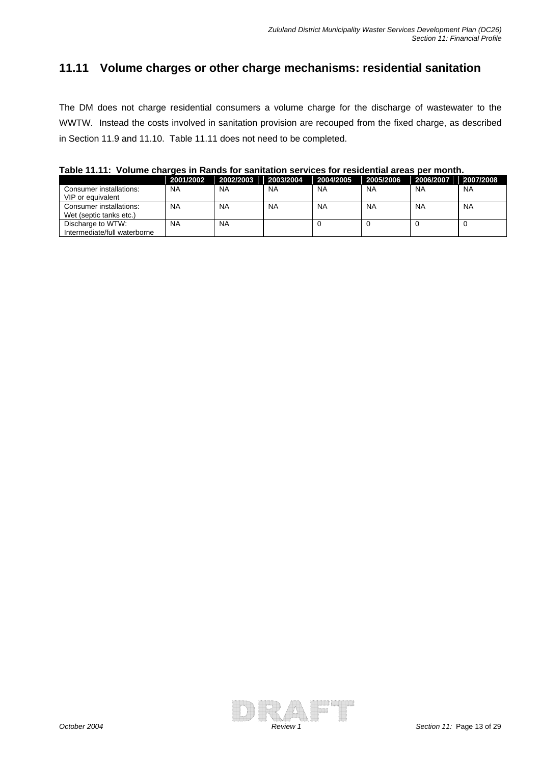### **11.11 Volume charges or other charge mechanisms: residential sanitation**

The DM does not charge residential consumers a volume charge for the discharge of wastewater to the WWTW. Instead the costs involved in sanitation provision are recouped from the fixed charge, as described in Section 11.9 and 11.10. Table 11.11 does not need to be completed.

|                                                    | 2001/2002 | 2002/2003 | 2003/2004 | 2004/2005 | 2005/2006 | 2006/2007 | 2007/2008 |
|----------------------------------------------------|-----------|-----------|-----------|-----------|-----------|-----------|-----------|
| Consumer installations:<br>VIP or equivalent       | <b>NA</b> | <b>NA</b> | <b>NA</b> | <b>NA</b> | <b>NA</b> | <b>NA</b> | <b>NA</b> |
| Consumer installations:<br>Wet (septic tanks etc.) | NA        | <b>NA</b> | <b>NA</b> | <b>NA</b> | <b>NA</b> | <b>NA</b> | <b>NA</b> |
| Discharge to WTW:<br>Intermediate/full waterborne  | NA        | <b>NA</b> |           |           |           |           |           |

**Table 11.11: Volume charges in Rands for sanitation services for residential areas per month.** 

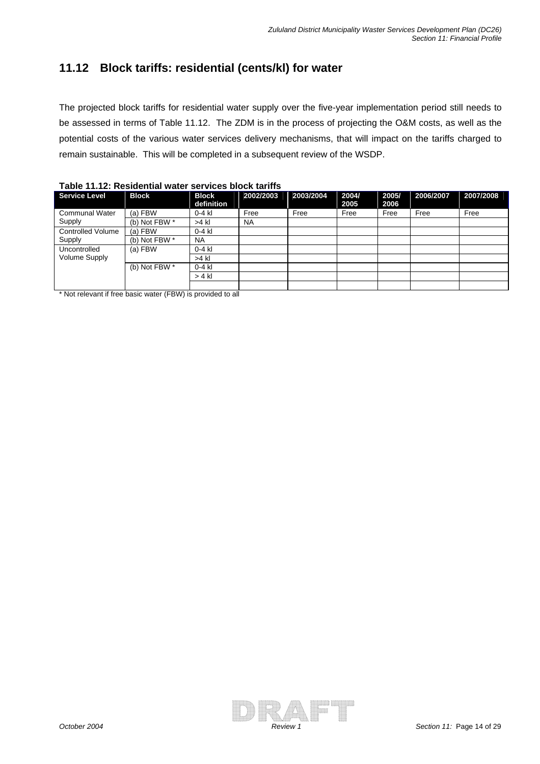## **11.12 Block tariffs: residential (cents/kl) for water**

The projected block tariffs for residential water supply over the five-year implementation period still needs to be assessed in terms of Table 11.12. The ZDM is in the process of projecting the O&M costs, as well as the potential costs of the various water services delivery mechanisms, that will impact on the tariffs charged to remain sustainable. This will be completed in a subsequent review of the WSDP.

| <b>Service Level</b>     | <b>Block</b>  | <b>Block</b> | 2002/2003 | 2003/2004 | 2004/ | 2005/ | 2006/2007 | 2007/2008 |
|--------------------------|---------------|--------------|-----------|-----------|-------|-------|-----------|-----------|
|                          |               | definition   |           |           | 2005  | 2006  |           |           |
| <b>Communal Water</b>    | $(a)$ FBW     | $0-4$ kl     | Free      | Free      | Free  | Free  | Free      | Free      |
| Supply                   | (b) Not FBW * | >4 kl        | <b>NA</b> |           |       |       |           |           |
| <b>Controlled Volume</b> | (a) FBW       | $0-4$ kl     |           |           |       |       |           |           |
| Supply                   | (b) Not FBW * | <b>NA</b>    |           |           |       |       |           |           |
| Uncontrolled             | (a) FBW       | $0-4$ kl     |           |           |       |       |           |           |
| Volume Supply            |               | $>4$ kl      |           |           |       |       |           |           |
|                          | (b) Not FBW * | $0-4$ kl     |           |           |       |       |           |           |
|                          |               | $> 4$ kl     |           |           |       |       |           |           |
|                          |               |              |           |           |       |       |           |           |

\* Not relevant if free basic water (FBW) is provided to all

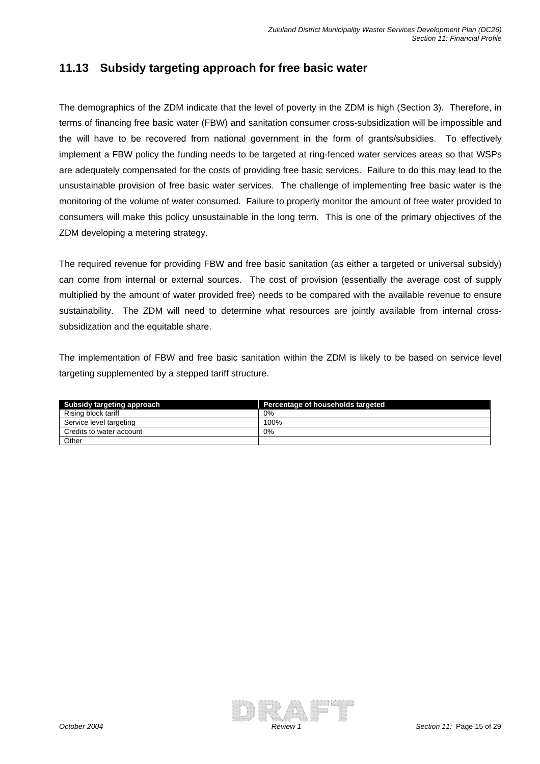### **11.13 Subsidy targeting approach for free basic water**

The demographics of the ZDM indicate that the level of poverty in the ZDM is high (Section 3). Therefore, in terms of financing free basic water (FBW) and sanitation consumer cross-subsidization will be impossible and the will have to be recovered from national government in the form of grants/subsidies. To effectively implement a FBW policy the funding needs to be targeted at ring-fenced water services areas so that WSPs are adequately compensated for the costs of providing free basic services. Failure to do this may lead to the unsustainable provision of free basic water services. The challenge of implementing free basic water is the monitoring of the volume of water consumed. Failure to properly monitor the amount of free water provided to consumers will make this policy unsustainable in the long term. This is one of the primary objectives of the ZDM developing a metering strategy.

The required revenue for providing FBW and free basic sanitation (as either a targeted or universal subsidy) can come from internal or external sources. The cost of provision (essentially the average cost of supply multiplied by the amount of water provided free) needs to be compared with the available revenue to ensure sustainability. The ZDM will need to determine what resources are jointly available from internal crosssubsidization and the equitable share.

The implementation of FBW and free basic sanitation within the ZDM is likely to be based on service level targeting supplemented by a stepped tariff structure.

| Subsidy targeting approach | Percentage of households targeted |
|----------------------------|-----------------------------------|
| Rising block tariff        | 0%                                |
| Service level targeting    | 100%                              |
| Credits to water account   | 0%                                |
| Other                      |                                   |

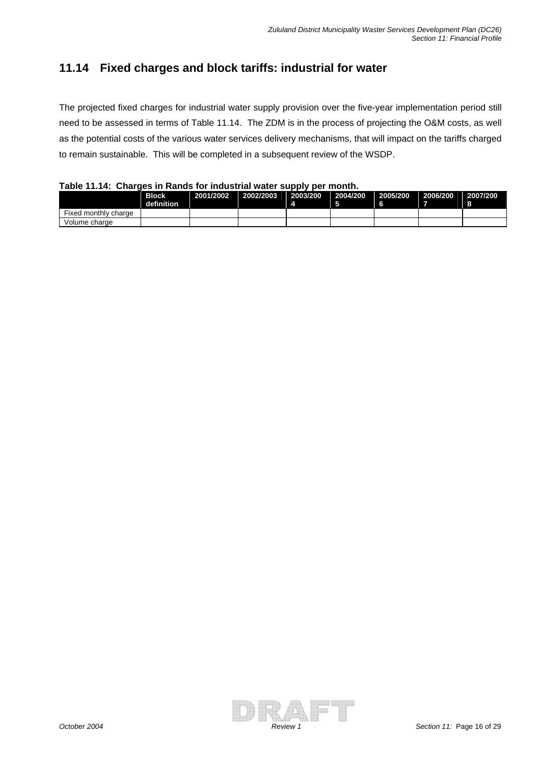## **11.14 Fixed charges and block tariffs: industrial for water**

The projected fixed charges for industrial water supply provision over the five-year implementation period still need to be assessed in terms of Table 11.14. The ZDM is in the process of projecting the O&M costs, as well as the potential costs of the various water services delivery mechanisms, that will impact on the tariffs charged to remain sustainable. This will be completed in a subsequent review of the WSDP.

**Table 11.14: Charges in Rands for industrial water supply per month.** 

|                      | <b>Block</b><br>definition | 2001/2002 | 2002/2003 | 2003/200 | 2004/200<br>-6 | 2005/200 | 2006/200 | 2007/200<br>- 8 |
|----------------------|----------------------------|-----------|-----------|----------|----------------|----------|----------|-----------------|
| Fixed monthly charge |                            |           |           |          |                |          |          |                 |
| Volume charge        |                            |           |           |          |                |          |          |                 |

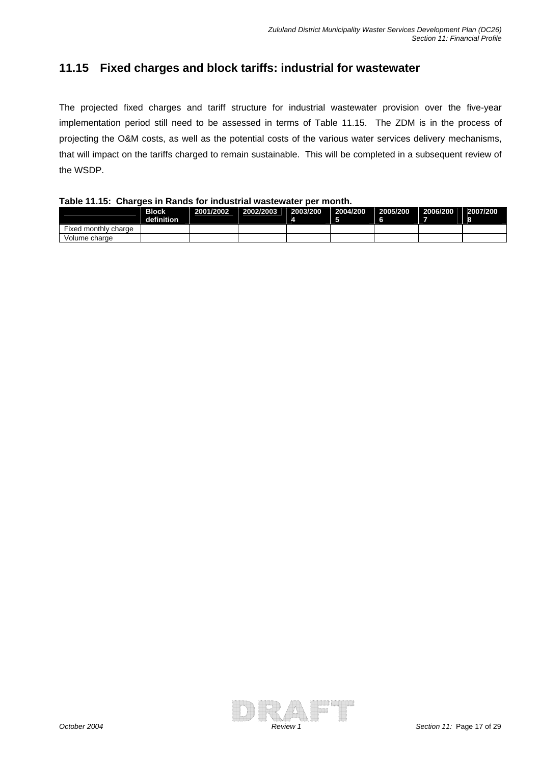#### **11.15 Fixed charges and block tariffs: industrial for wastewater**

The projected fixed charges and tariff structure for industrial wastewater provision over the five-year implementation period still need to be assessed in terms of Table 11.15. The ZDM is in the process of projecting the O&M costs, as well as the potential costs of the various water services delivery mechanisms, that will impact on the tariffs charged to remain sustainable. This will be completed in a subsequent review of the WSDP.

#### **Table 11.15: Charges in Rands for industrial wastewater per month.**

|                      | <b>Block</b><br>definition | 2001/2002 | 2002/2003 | 2003/200 | 2004/200<br>- 5 | 2005/200 | 2006/200 | 2007/200<br>- 8 |
|----------------------|----------------------------|-----------|-----------|----------|-----------------|----------|----------|-----------------|
| Fixed monthly charge |                            |           |           |          |                 |          |          |                 |
| Volume charge        |                            |           |           |          |                 |          |          |                 |

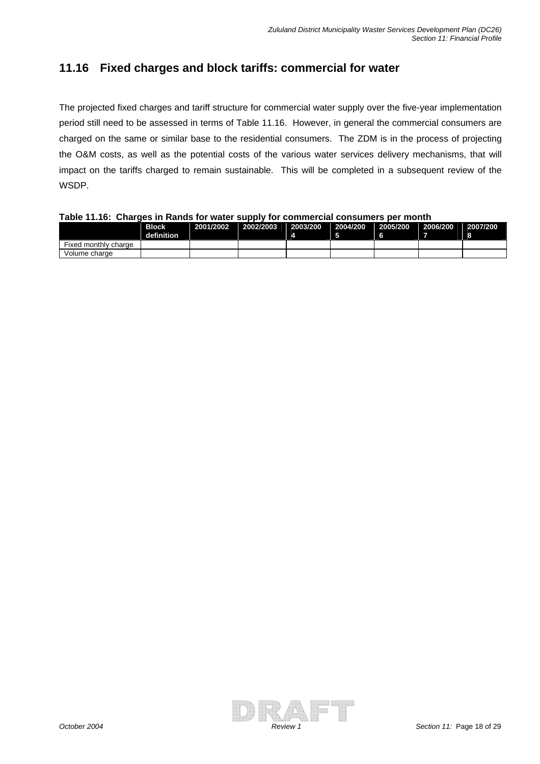### **11.16 Fixed charges and block tariffs: commercial for water**

The projected fixed charges and tariff structure for commercial water supply over the five-year implementation period still need to be assessed in terms of Table 11.16. However, in general the commercial consumers are charged on the same or similar base to the residential consumers. The ZDM is in the process of projecting the O&M costs, as well as the potential costs of the various water services delivery mechanisms, that will impact on the tariffs charged to remain sustainable. This will be completed in a subsequent review of the WSDP.

**Table 11.16: Charges in Rands for water supply for commercial consumers per month**

|                      | <b>Block</b><br>definition | 2001/2002 | 2002/2003 | 2003/200 | 2004/200 | 2005/200 | 2006/200 | 2007/200 |
|----------------------|----------------------------|-----------|-----------|----------|----------|----------|----------|----------|
| Fixed monthly charge |                            |           |           |          |          |          |          |          |
| Volume charge        |                            |           |           |          |          |          |          |          |

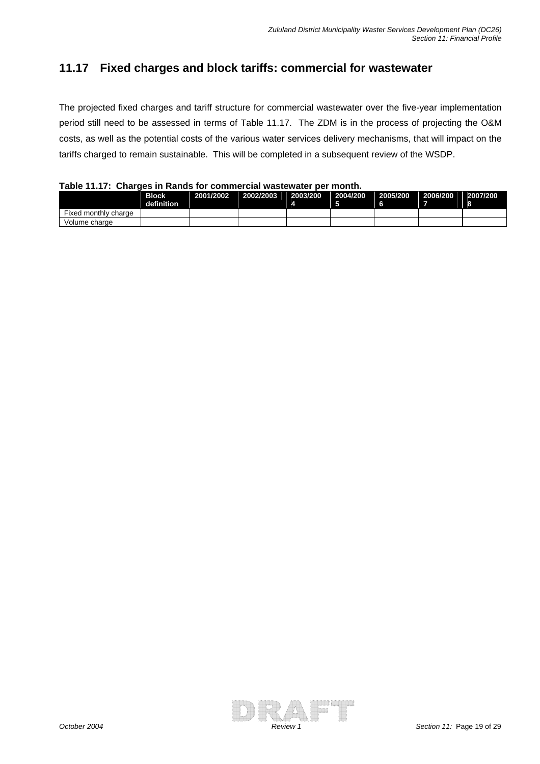### **11.17 Fixed charges and block tariffs: commercial for wastewater**

The projected fixed charges and tariff structure for commercial wastewater over the five-year implementation period still need to be assessed in terms of Table 11.17. The ZDM is in the process of projecting the O&M costs, as well as the potential costs of the various water services delivery mechanisms, that will impact on the tariffs charged to remain sustainable. This will be completed in a subsequent review of the WSDP.

|  |  | Table 11.17: Charges in Rands for commercial wastewater per month. |  |
|--|--|--------------------------------------------------------------------|--|
|--|--|--------------------------------------------------------------------|--|

|                      | <b>Block</b><br>definition | 2001/2002 | 2002/2003 | 2003/200 | 2004/200 | 2005/200 | 2006/200 | 2007/200<br>- 8 |
|----------------------|----------------------------|-----------|-----------|----------|----------|----------|----------|-----------------|
| Fixed monthly charge |                            |           |           |          |          |          |          |                 |
| Volume charge        |                            |           |           |          |          |          |          |                 |

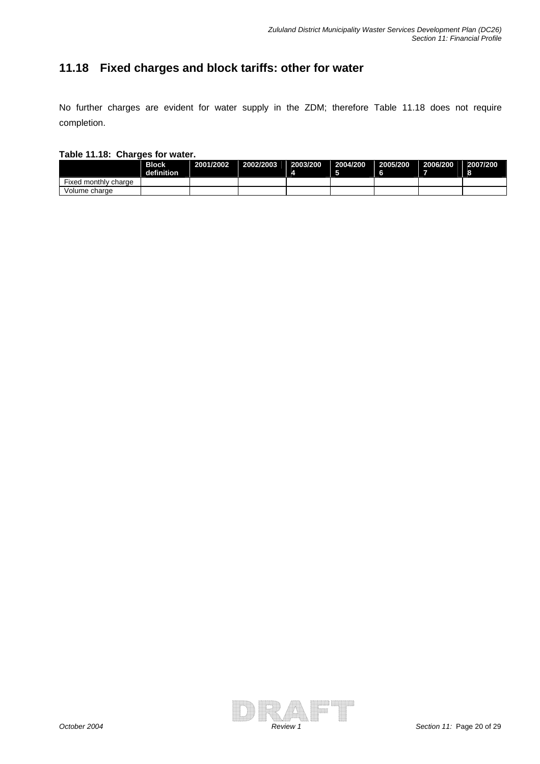## **11.18 Fixed charges and block tariffs: other for water**

No further charges are evident for water supply in the ZDM; therefore Table 11.18 does not require completion.

#### **Table 11.18: Charges for water.**

|                      | Block<br>definition | 2001/2002 2002/2003 | 2003/200 | 2004/200 | 2005/200 | 2006/200 | 2007/200 |
|----------------------|---------------------|---------------------|----------|----------|----------|----------|----------|
| Fixed monthly charge |                     |                     |          |          |          |          |          |
| Volume charge        |                     |                     |          |          |          |          |          |

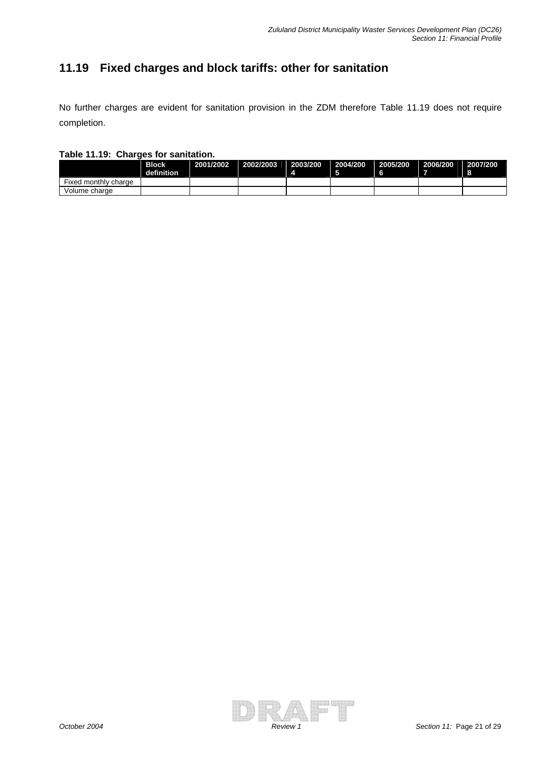## **11.19 Fixed charges and block tariffs: other for sanitation**

No further charges are evident for sanitation provision in the ZDM therefore Table 11.19 does not require completion.

#### **Table 11.19: Charges for sanitation.**

|                      | Block<br>definition | 2001/2002 2002/2003 | 2003/200 | 2004/200 | 2005/200 | 2006/200 | 2007/200 |
|----------------------|---------------------|---------------------|----------|----------|----------|----------|----------|
| Fixed monthly charge |                     |                     |          |          |          |          |          |
| Volume charge        |                     |                     |          |          |          |          |          |

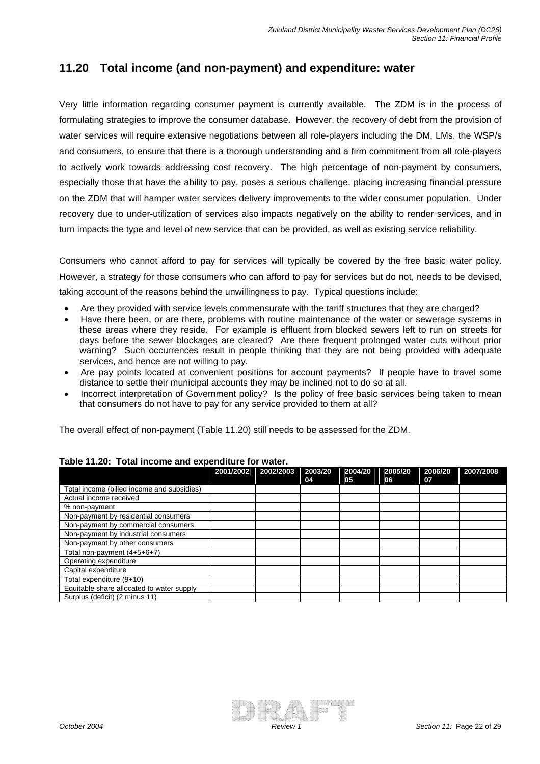### **11.20 Total income (and non-payment) and expenditure: water**

Very little information regarding consumer payment is currently available. The ZDM is in the process of formulating strategies to improve the consumer database. However, the recovery of debt from the provision of water services will require extensive negotiations between all role-players including the DM, LMs, the WSP/s and consumers, to ensure that there is a thorough understanding and a firm commitment from all role-players to actively work towards addressing cost recovery. The high percentage of non-payment by consumers, especially those that have the ability to pay, poses a serious challenge, placing increasing financial pressure on the ZDM that will hamper water services delivery improvements to the wider consumer population. Under recovery due to under-utilization of services also impacts negatively on the ability to render services, and in turn impacts the type and level of new service that can be provided, as well as existing service reliability.

Consumers who cannot afford to pay for services will typically be covered by the free basic water policy. However, a strategy for those consumers who can afford to pay for services but do not, needs to be devised, taking account of the reasons behind the unwillingness to pay. Typical questions include:

- Are they provided with service levels commensurate with the tariff structures that they are charged?
- Have there been, or are there, problems with routine maintenance of the water or sewerage systems in these areas where they reside. For example is effluent from blocked sewers left to run on streets for days before the sewer blockages are cleared? Are there frequent prolonged water cuts without prior warning? Such occurrences result in people thinking that they are not being provided with adequate services, and hence are not willing to pay.
- Are pay points located at convenient positions for account payments? If people have to travel some distance to settle their municipal accounts they may be inclined not to do so at all.
- Incorrect interpretation of Government policy? Is the policy of free basic services being taken to mean that consumers do not have to pay for any service provided to them at all?

The overall effect of non-payment (Table 11.20) still needs to be assessed for the ZDM.

|                                            | 2001/2002 | 2002/2003 | 2003/20 | 2004/20 | 2005/20 | 2006/20 | 2007/2008 |
|--------------------------------------------|-----------|-----------|---------|---------|---------|---------|-----------|
| Total income (billed income and subsidies) |           |           | 04      | 05      | 06      | 07      |           |
| Actual income received                     |           |           |         |         |         |         |           |
| % non-payment                              |           |           |         |         |         |         |           |
| Non-payment by residential consumers       |           |           |         |         |         |         |           |
| Non-payment by commercial consumers        |           |           |         |         |         |         |           |
| Non-payment by industrial consumers        |           |           |         |         |         |         |           |
| Non-payment by other consumers             |           |           |         |         |         |         |           |
| Total non-payment (4+5+6+7)                |           |           |         |         |         |         |           |
| Operating expenditure                      |           |           |         |         |         |         |           |
| Capital expenditure                        |           |           |         |         |         |         |           |
| Total expenditure (9+10)                   |           |           |         |         |         |         |           |
| Equitable share allocated to water supply  |           |           |         |         |         |         |           |
| Surplus (deficit) (2 minus 11)             |           |           |         |         |         |         |           |

#### **Table 11.20: Total income and expenditure for water.**

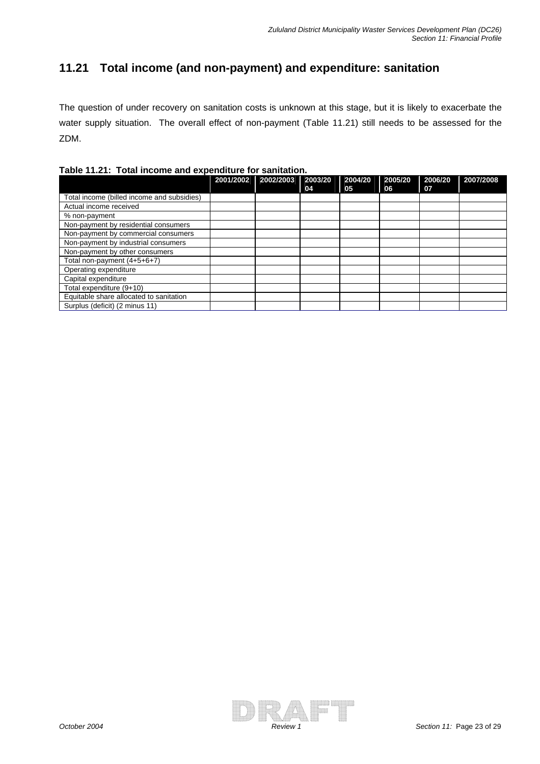## **11.21 Total income (and non-payment) and expenditure: sanitation**

The question of under recovery on sanitation costs is unknown at this stage, but it is likely to exacerbate the water supply situation. The overall effect of non-payment (Table 11.21) still needs to be assessed for the ZDM.

|  | Table 11.21: Total income and expenditure for sanitation. |  |
|--|-----------------------------------------------------------|--|
|  |                                                           |  |

|                                            | 2001/2002 | 2002/2003 | 2003/20 | 2004/20 | 2005/20 | 2006/20 | 2007/2008 |
|--------------------------------------------|-----------|-----------|---------|---------|---------|---------|-----------|
|                                            |           |           | 04      | 05      | 06      | 07      |           |
| Total income (billed income and subsidies) |           |           |         |         |         |         |           |
| Actual income received                     |           |           |         |         |         |         |           |
| % non-payment                              |           |           |         |         |         |         |           |
| Non-payment by residential consumers       |           |           |         |         |         |         |           |
| Non-payment by commercial consumers        |           |           |         |         |         |         |           |
| Non-payment by industrial consumers        |           |           |         |         |         |         |           |
| Non-payment by other consumers             |           |           |         |         |         |         |           |
| Total non-payment (4+5+6+7)                |           |           |         |         |         |         |           |
| Operating expenditure                      |           |           |         |         |         |         |           |
| Capital expenditure                        |           |           |         |         |         |         |           |
| Total expenditure (9+10)                   |           |           |         |         |         |         |           |
| Equitable share allocated to sanitation    |           |           |         |         |         |         |           |
| Surplus (deficit) (2 minus 11)             |           |           |         |         |         |         |           |

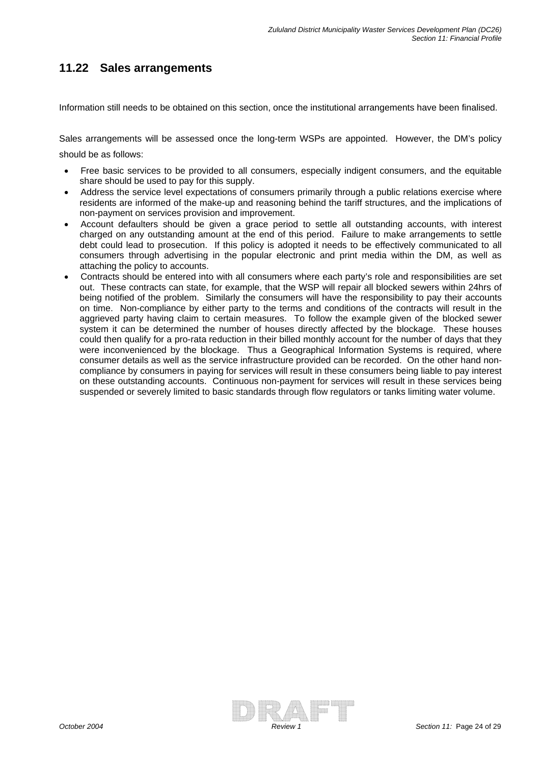### **11.22 Sales arrangements**

Information still needs to be obtained on this section, once the institutional arrangements have been finalised.

Sales arrangements will be assessed once the long-term WSPs are appointed. However, the DM's policy should be as follows:

- Free basic services to be provided to all consumers, especially indigent consumers, and the equitable share should be used to pay for this supply.
- Address the service level expectations of consumers primarily through a public relations exercise where residents are informed of the make-up and reasoning behind the tariff structures, and the implications of non-payment on services provision and improvement.
- Account defaulters should be given a grace period to settle all outstanding accounts, with interest charged on any outstanding amount at the end of this period. Failure to make arrangements to settle debt could lead to prosecution. If this policy is adopted it needs to be effectively communicated to all consumers through advertising in the popular electronic and print media within the DM, as well as attaching the policy to accounts.
- Contracts should be entered into with all consumers where each party's role and responsibilities are set out. These contracts can state, for example, that the WSP will repair all blocked sewers within 24hrs of being notified of the problem. Similarly the consumers will have the responsibility to pay their accounts on time. Non-compliance by either party to the terms and conditions of the contracts will result in the aggrieved party having claim to certain measures. To follow the example given of the blocked sewer system it can be determined the number of houses directly affected by the blockage. These houses could then qualify for a pro-rata reduction in their billed monthly account for the number of days that they were inconvenienced by the blockage. Thus a Geographical Information Systems is required, where consumer details as well as the service infrastructure provided can be recorded. On the other hand noncompliance by consumers in paying for services will result in these consumers being liable to pay interest on these outstanding accounts. Continuous non-payment for services will result in these services being suspended or severely limited to basic standards through flow regulators or tanks limiting water volume.

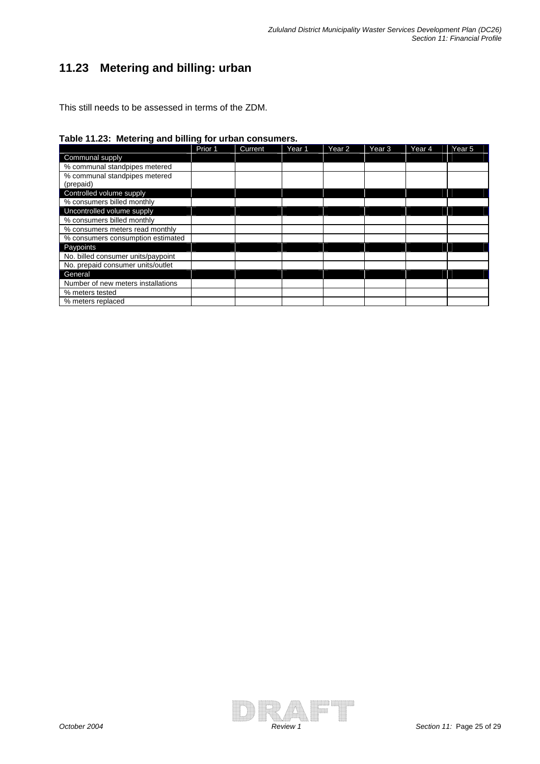## **11.23 Metering and billing: urban**

**Table 11.23: Metering and billing for urban consumers.** 

|                                            | Prior 1 | Current | Year <sub>1</sub> | Year 2 | Year 3 | Year 4 | Year <sub>5</sub> |
|--------------------------------------------|---------|---------|-------------------|--------|--------|--------|-------------------|
| Communal supply                            |         |         |                   |        |        |        |                   |
| % communal standpipes metered              |         |         |                   |        |        |        |                   |
| % communal standpipes metered<br>(prepaid) |         |         |                   |        |        |        |                   |
| Controlled volume supply                   |         |         |                   |        |        |        |                   |
| % consumers billed monthly                 |         |         |                   |        |        |        |                   |
| Uncontrolled volume supply                 |         |         |                   |        |        |        |                   |
| % consumers billed monthly                 |         |         |                   |        |        |        |                   |
| % consumers meters read monthly            |         |         |                   |        |        |        |                   |
| % consumers consumption estimated          |         |         |                   |        |        |        |                   |
| Paypoints                                  |         |         |                   |        |        |        |                   |
| No. billed consumer units/paypoint         |         |         |                   |        |        |        |                   |
| No. prepaid consumer units/outlet          |         |         |                   |        |        |        |                   |
| General                                    |         |         |                   |        |        |        |                   |
| Number of new meters installations         |         |         |                   |        |        |        |                   |
| % meters tested                            |         |         |                   |        |        |        |                   |
| % meters replaced                          |         |         |                   |        |        |        |                   |

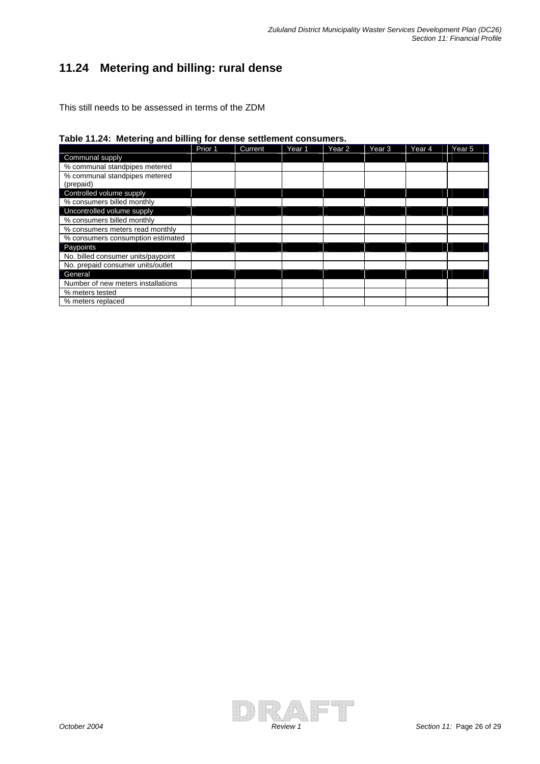## **11.24 Metering and billing: rural dense**

**Table 11.24: Metering and billing for dense settlement consumers.** 

|                                            | Prior 1 | <b>Current</b> | Year <sub>1</sub> | Year <sub>2</sub> | Year 3 | Year 4 | Year <sub>5</sub> |
|--------------------------------------------|---------|----------------|-------------------|-------------------|--------|--------|-------------------|
| Communal supply                            |         |                |                   |                   |        |        |                   |
| % communal standpipes metered              |         |                |                   |                   |        |        |                   |
| % communal standpipes metered<br>(prepaid) |         |                |                   |                   |        |        |                   |
| Controlled volume supply                   |         |                |                   |                   |        |        |                   |
| % consumers billed monthly                 |         |                |                   |                   |        |        |                   |
| Uncontrolled volume supply                 |         |                |                   |                   |        |        |                   |
| % consumers billed monthly                 |         |                |                   |                   |        |        |                   |
| % consumers meters read monthly            |         |                |                   |                   |        |        |                   |
| % consumers consumption estimated          |         |                |                   |                   |        |        |                   |
| Paypoints                                  |         |                |                   |                   |        |        |                   |
| No. billed consumer units/paypoint         |         |                |                   |                   |        |        |                   |
| No. prepaid consumer units/outlet          |         |                |                   |                   |        |        |                   |
| General                                    |         |                |                   |                   |        |        |                   |
| Number of new meters installations         |         |                |                   |                   |        |        |                   |
| % meters tested                            |         |                |                   |                   |        |        |                   |
| % meters replaced                          |         |                |                   |                   |        |        |                   |

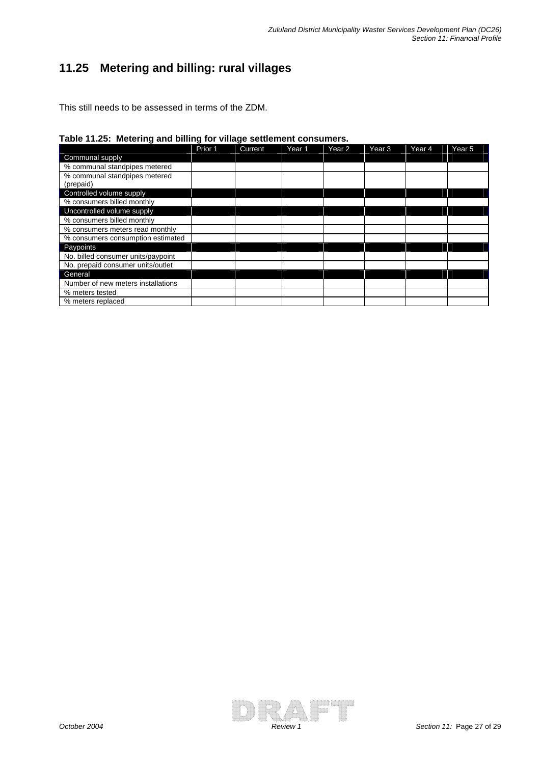## **11.25 Metering and billing: rural villages**

**Table 11.25: Metering and billing for village settlement consumers.** 

|                                            | Prior 1 | Current | Year <sub>1</sub> | Year 2 | Year <sub>3</sub> | Year 4 | Year 5 |
|--------------------------------------------|---------|---------|-------------------|--------|-------------------|--------|--------|
| Communal supply                            |         |         |                   |        |                   |        |        |
| % communal standpipes metered              |         |         |                   |        |                   |        |        |
| % communal standpipes metered<br>(prepaid) |         |         |                   |        |                   |        |        |
| Controlled volume supply                   |         |         |                   |        |                   |        |        |
| % consumers billed monthly                 |         |         |                   |        |                   |        |        |
| Uncontrolled volume supply                 |         |         |                   |        |                   |        |        |
| % consumers billed monthly                 |         |         |                   |        |                   |        |        |
| % consumers meters read monthly            |         |         |                   |        |                   |        |        |
| % consumers consumption estimated          |         |         |                   |        |                   |        |        |
| Paypoints                                  |         |         |                   |        |                   |        |        |
| No. billed consumer units/paypoint         |         |         |                   |        |                   |        |        |
| No. prepaid consumer units/outlet          |         |         |                   |        |                   |        |        |
| General                                    |         |         |                   |        |                   |        |        |
| Number of new meters installations         |         |         |                   |        |                   |        |        |
| % meters tested                            |         |         |                   |        |                   |        |        |
| % meters replaced                          |         |         |                   |        |                   |        |        |

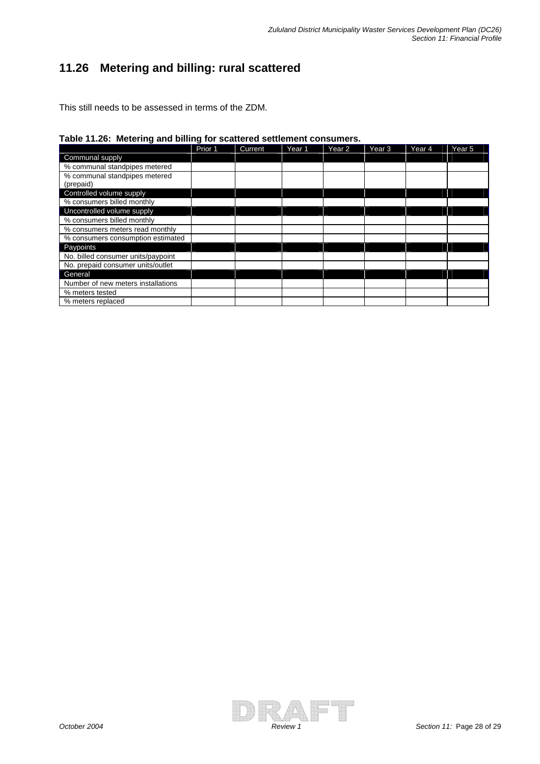## **11.26 Metering and billing: rural scattered**

**Table 11.26: Metering and billing for scattered settlement consumers.** 

|                                            | Prior 1 | <b>Current</b> | Year <sub>1</sub> | Year <sub>2</sub> | Year <sub>3</sub> | Year 4 | Year <sub>5</sub> |
|--------------------------------------------|---------|----------------|-------------------|-------------------|-------------------|--------|-------------------|
| Communal supply                            |         |                |                   |                   |                   |        |                   |
| % communal standpipes metered              |         |                |                   |                   |                   |        |                   |
| % communal standpipes metered<br>(prepaid) |         |                |                   |                   |                   |        |                   |
| Controlled volume supply                   |         |                |                   |                   |                   |        |                   |
| % consumers billed monthly                 |         |                |                   |                   |                   |        |                   |
| Uncontrolled volume supply                 |         |                |                   |                   |                   |        |                   |
| % consumers billed monthly                 |         |                |                   |                   |                   |        |                   |
| % consumers meters read monthly            |         |                |                   |                   |                   |        |                   |
| % consumers consumption estimated          |         |                |                   |                   |                   |        |                   |
| Paypoints                                  |         |                |                   |                   |                   |        |                   |
| No. billed consumer units/paypoint         |         |                |                   |                   |                   |        |                   |
| No. prepaid consumer units/outlet          |         |                |                   |                   |                   |        |                   |
| General                                    |         |                |                   |                   |                   |        |                   |
| Number of new meters installations         |         |                |                   |                   |                   |        |                   |
| % meters tested                            |         |                |                   |                   |                   |        |                   |
| % meters replaced                          |         |                |                   |                   |                   |        |                   |